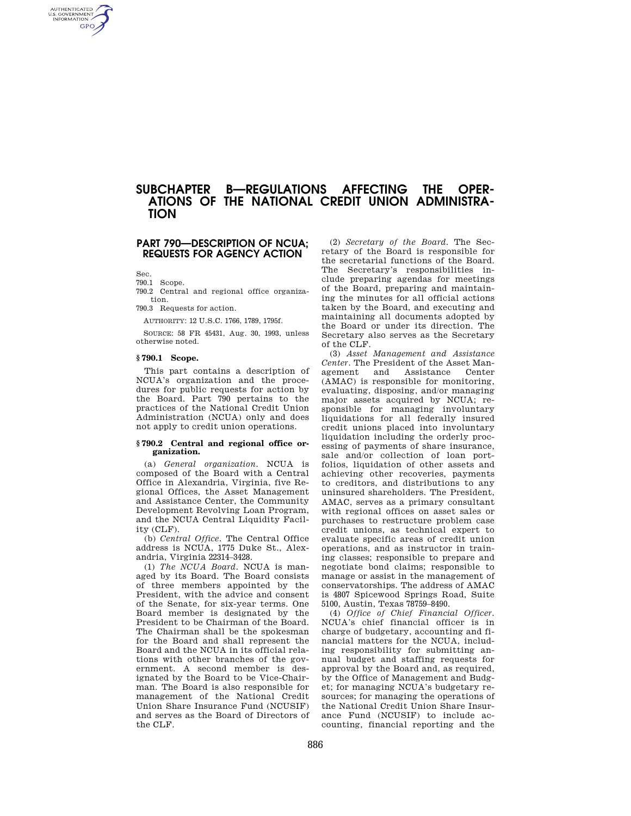# **SUBCHAPTER B—REGULATIONS AFFECTING THE OPER-ATIONS OF THE NATIONAL CREDIT UNION ADMINISTRA-TION**

## **PART 790—DESCRIPTION OF NCUA; REQUESTS FOR AGENCY ACTION**

Sec.

AUTHENTICATED<br>U.S. GOVERNMENT<br>INFORMATION **GPO** 

790.1 Scope.

790.2 Central and regional office organization.

790.3 Requests for action.

AUTHORITY: 12 U.S.C. 1766, 1789, 1795f.

SOURCE: 58 FR 45431, Aug. 30, 1993, unless otherwise noted.

#### **§ 790.1 Scope.**

This part contains a description of NCUA's organization and the procedures for public requests for action by the Board. Part 790 pertains to the practices of the National Credit Union Administration (NCUA) only and does not apply to credit union operations.

#### **§ 790.2 Central and regional office organization.**

(a) *General organization.* NCUA is composed of the Board with a Central Office in Alexandria, Virginia, five Regional Offices, the Asset Management and Assistance Center, the Community Development Revolving Loan Program, and the NCUA Central Liquidity Facility (CLF).

(b) *Central Office.* The Central Office address is NCUA, 1775 Duke St., Alexandria, Virginia 22314–3428.

(1) *The NCUA Board.* NCUA is managed by its Board. The Board consists of three members appointed by the President, with the advice and consent of the Senate, for six-year terms. One Board member is designated by the President to be Chairman of the Board. The Chairman shall be the spokesman for the Board and shall represent the Board and the NCUA in its official relations with other branches of the government. A second member is designated by the Board to be Vice-Chairman. The Board is also responsible for management of the National Credit Union Share Insurance Fund (NCUSIF) and serves as the Board of Directors of the CLF.

(2) *Secretary of the Board.* The Secretary of the Board is responsible for the secretarial functions of the Board. The Secretary's responsibilities include preparing agendas for meetings of the Board, preparing and maintaining the minutes for all official actions taken by the Board, and executing and maintaining all documents adopted by the Board or under its direction. The Secretary also serves as the Secretary of the CLF.

(3) *Asset Management and Assistance Center.* The President of the Asset Management and (AMAC) is responsible for monitoring, evaluating, disposing, and/or managing major assets acquired by NCUA; responsible for managing involuntary liquidations for all federally insured credit unions placed into involuntary liquidation including the orderly processing of payments of share insurance, sale and/or collection of loan portfolios, liquidation of other assets and achieving other recoveries, payments to creditors, and distributions to any uninsured shareholders. The President, AMAC, serves as a primary consultant with regional offices on asset sales or purchases to restructure problem case credit unions, as technical expert to evaluate specific areas of credit union operations, and as instructor in training classes; responsible to prepare and negotiate bond claims; responsible to manage or assist in the management of conservatorships. The address of AMAC is 4807 Spicewood Springs Road, Suite 5100, Austin, Texas 78759–8490.

(4) *Office of Chief Financial Officer.*  NCUA's chief financial officer is in charge of budgetary, accounting and financial matters for the NCUA, including responsibility for submitting annual budget and staffing requests for approval by the Board and, as required, by the Office of Management and Budget; for managing NCUA's budgetary resources; for managing the operations of the National Credit Union Share Insurance Fund (NCUSIF) to include accounting, financial reporting and the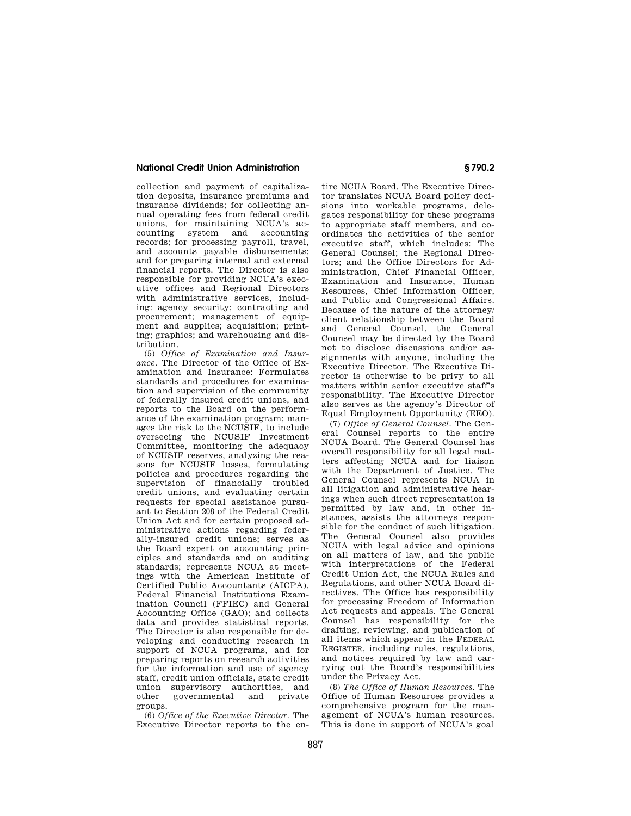### **National Credit Union Administration § 790.2**

collection and payment of capitalization deposits, insurance premiums and insurance dividends; for collecting annual operating fees from federal credit unions, for maintaining NCUA's accounting system and accounting records; for processing payroll, travel, and accounts payable disbursements; and for preparing internal and external financial reports. The Director is also responsible for providing NCUA's executive offices and Regional Directors with administrative services, including: agency security; contracting and procurement; management of equipment and supplies; acquisition; printing; graphics; and warehousing and distribution.

(5) *Office of Examination and Insurance.* The Director of the Office of Examination and Insurance: Formulates standards and procedures for examination and supervision of the community of federally insured credit unions, and reports to the Board on the performance of the examination program; manages the risk to the NCUSIF, to include overseeing the NCUSIF Investment Committee, monitoring the adequacy of NCUSIF reserves, analyzing the reasons for NCUSIF losses, formulating policies and procedures regarding the supervision of financially troubled credit unions, and evaluating certain requests for special assistance pursuant to Section 208 of the Federal Credit Union Act and for certain proposed administrative actions regarding federally-insured credit unions; serves as the Board expert on accounting principles and standards and on auditing standards; represents NCUA at meetings with the American Institute of Certified Public Accountants (AICPA), Federal Financial Institutions Examination Council (FFIEC) and General Accounting Office (GAO); and collects data and provides statistical reports. The Director is also responsible for developing and conducting research in support of NCUA programs, and for preparing reports on research activities for the information and use of agency staff, credit union officials, state credit union supervisory authorities, and<br>other governmental and private governmental groups.

(6) *Office of the Executive Director.* The Executive Director reports to the en-

tire NCUA Board. The Executive Director translates NCUA Board policy decisions into workable programs, delegates responsibility for these programs to appropriate staff members, and coordinates the activities of the senior executive staff, which includes: The General Counsel; the Regional Directors; and the Office Directors for Administration, Chief Financial Officer, Examination and Insurance, Human Resources, Chief Information Officer, and Public and Congressional Affairs. Because of the nature of the attorney/ client relationship between the Board and General Counsel, the General Counsel may be directed by the Board not to disclose discussions and/or assignments with anyone, including the Executive Director. The Executive Director is otherwise to be privy to all matters within senior executive staff's responsibility. The Executive Director also serves as the agency's Director of Equal Employment Opportunity (EEO).

(7) *Office of General Counsel.* The General Counsel reports to the entire NCUA Board. The General Counsel has overall responsibility for all legal matters affecting NCUA and for liaison with the Department of Justice. The General Counsel represents NCUA in all litigation and administrative hearings when such direct representation is permitted by law and, in other instances, assists the attorneys responsible for the conduct of such litigation. The General Counsel also provides NCUA with legal advice and opinions on all matters of law, and the public with interpretations of the Federal Credit Union Act, the NCUA Rules and Regulations, and other NCUA Board directives. The Office has responsibility for processing Freedom of Information Act requests and appeals. The General Counsel has responsibility for the drafting, reviewing, and publication of all items which appear in the FEDERAL REGISTER, including rules, regulations, and notices required by law and carrying out the Board's responsibilities under the Privacy Act.

(8) *The Office of Human Resources.* The Office of Human Resources provides a comprehensive program for the management of NCUA's human resources. This is done in support of NCUA's goal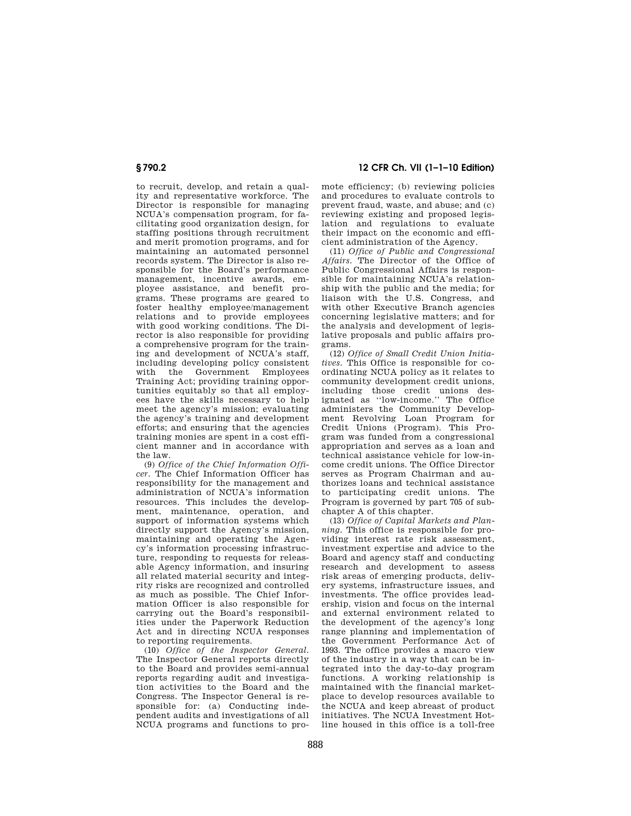to recruit, develop, and retain a quality and representative workforce. The Director is responsible for managing NCUA's compensation program, for facilitating good organization design, for staffing positions through recruitment and merit promotion programs, and for maintaining an automated personnel records system. The Director is also responsible for the Board's performance management, incentive awards, employee assistance, and benefit programs. These programs are geared to foster healthy employee/management relations and to provide employees with good working conditions. The Director is also responsible for providing a comprehensive program for the training and development of NCUA's staff, including developing policy consistent Government Training Act; providing training opportunities equitably so that all employees have the skills necessary to help meet the agency's mission; evaluating the agency's training and development efforts; and ensuring that the agencies training monies are spent in a cost efficient manner and in accordance with the law.

(9) *Office of the Chief Information Officer.* The Chief Information Officer has responsibility for the management and administration of NCUA's information resources. This includes the development, maintenance, operation, and support of information systems which directly support the Agency's mission, maintaining and operating the Agency's information processing infrastructure, responding to requests for releasable Agency information, and insuring all related material security and integrity risks are recognized and controlled as much as possible. The Chief Information Officer is also responsible for carrying out the Board's responsibilities under the Paperwork Reduction Act and in directing NCUA responses to reporting requirements.

(10) *Office of the Inspector General.*  The Inspector General reports directly to the Board and provides semi-annual reports regarding audit and investigation activities to the Board and the Congress. The Inspector General is responsible for: (a) Conducting independent audits and investigations of all NCUA programs and functions to pro-

**§ 790.2 12 CFR Ch. VII (1–1–10 Edition)** 

mote efficiency; (b) reviewing policies and procedures to evaluate controls to prevent fraud, waste, and abuse; and (c) reviewing existing and proposed legislation and regulations to evaluate their impact on the economic and efficient administration of the Agency.

(11) *Office of Public and Congressional Affairs.* The Director of the Office of Public Congressional Affairs is responsible for maintaining NCUA's relationship with the public and the media; for liaison with the U.S. Congress, and with other Executive Branch agencies concerning legislative matters; and for the analysis and development of legislative proposals and public affairs programs.

(12) *Office of Small Credit Union Initiatives.* This Office is responsible for coordinating NCUA policy as it relates to community development credit unions, including those credit unions designated as ''low-income.'' The Office administers the Community Development Revolving Loan Program for Credit Unions (Program). This Program was funded from a congressional appropriation and serves as a loan and technical assistance vehicle for low-income credit unions. The Office Director serves as Program Chairman and authorizes loans and technical assistance to participating credit unions. The Program is governed by part 705 of subchapter A of this chapter.

(13) *Office of Capital Markets and Planning.* This office is responsible for providing interest rate risk assessment, investment expertise and advice to the Board and agency staff and conducting research and development to assess risk areas of emerging products, delivery systems, infrastructure issues, and investments. The office provides leadership, vision and focus on the internal and external environment related to the development of the agency's long range planning and implementation of the Government Performance Act of 1993. The office provides a macro view of the industry in a way that can be integrated into the day-to-day program functions. A working relationship is maintained with the financial marketplace to develop resources available to the NCUA and keep abreast of product initiatives. The NCUA Investment Hotline housed in this office is a toll-free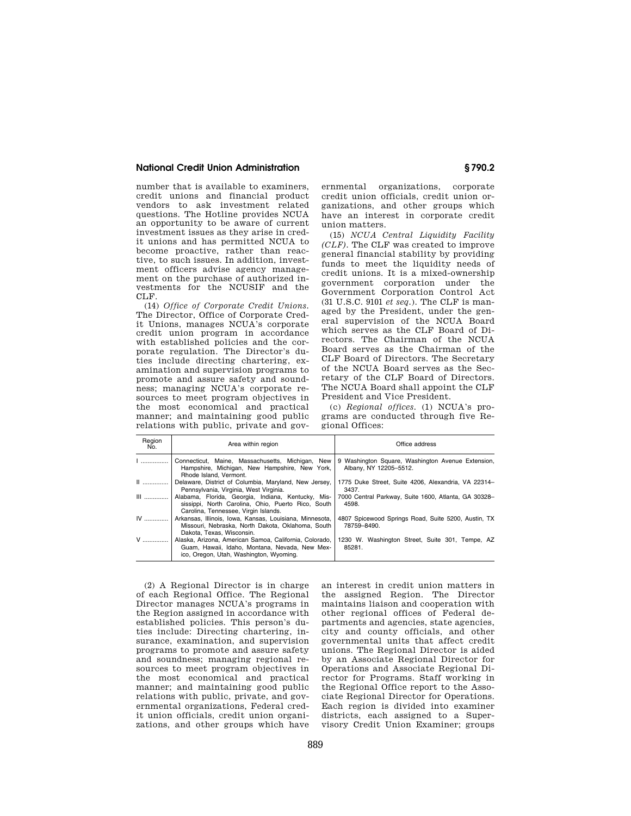## **National Credit Union Administration § 790.2**

number that is available to examiners, credit unions and financial product vendors to ask investment related questions. The Hotline provides NCUA an opportunity to be aware of current investment issues as they arise in credit unions and has permitted NCUA to become proactive, rather than reactive, to such issues. In addition, investment officers advise agency management on the purchase of authorized investments for the NCUSIF and the CLF.

(14) *Office of Corporate Credit Unions.*  The Director, Office of Corporate Credit Unions, manages NCUA's corporate credit union program in accordance with established policies and the corporate regulation. The Director's duties include directing chartering, examination and supervision programs to promote and assure safety and soundness; managing NCUA's corporate resources to meet program objectives in the most economical and practical manner; and maintaining good public relations with public, private and gov-

ernmental organizations, corporate credit union officials, credit union organizations, and other groups which have an interest in corporate credit union matters.

(15) *NCUA Central Liquidity Facility (CLF).* The CLF was created to improve general financial stability by providing funds to meet the liquidity needs of credit unions. It is a mixed-ownership government corporation under the Government Corporation Control Act (31 U.S.C. 9101 *et seq.*). The CLF is managed by the President, under the general supervision of the NCUA Board which serves as the CLF Board of Directors. The Chairman of the NCUA Board serves as the Chairman of the CLF Board of Directors. The Secretary of the NCUA Board serves as the Secretary of the CLF Board of Directors. The NCUA Board shall appoint the CLF President and Vice President.

(c) *Regional offices.* (1) NCUA's programs are conducted through five Regional Offices:

| Region<br>No. | Area within region                                                                                                                                  | Office address                                                              |
|---------------|-----------------------------------------------------------------------------------------------------------------------------------------------------|-----------------------------------------------------------------------------|
| 1             | Connecticut, Maine, Massachusetts, Michigan, New<br>Hampshire, Michigan, New Hampshire, New York,<br>Rhode Island, Vermont.                         | 9 Washington Square, Washington Avenue Extension,<br>Albany, NY 12205-5512. |
| $\ $          | Delaware, District of Columbia, Maryland, New Jersey,<br>Pennsylvania, Virginia, West Virginia.                                                     | 1775 Duke Street, Suite 4206, Alexandria, VA 22314-<br>3437.                |
| $III$         | Alabama, Florida, Georgia, Indiana, Kentucky, Mis-<br>sissippi, North Carolina, Ohio, Puerto Rico, South<br>Carolina, Tennessee, Virgin Islands.    | 7000 Central Parkway, Suite 1600, Atlanta, GA 30328-<br>4598.               |
| IV            | Arkansas, Illinois, Iowa, Kansas, Louisiana, Minnesota,<br>Missouri, Nebraska, North Dakota, Oklahoma, South<br>Dakota, Texas, Wisconsin.           | 4807 Spicewood Springs Road, Suite 5200, Austin, TX<br>78759-8490.          |
| V             | Alaska, Arizona, American Samoa, California, Colorado,<br>Guam, Hawaii, Idaho, Montana, Nevada, New Mex-<br>ico, Oregon, Utah, Washington, Wyoming. | 1230 W. Washington Street, Suite 301, Tempe, AZ<br>85281.                   |

(2) A Regional Director is in charge of each Regional Office. The Regional Director manages NCUA's programs in the Region assigned in accordance with established policies. This person's duties include: Directing chartering, insurance, examination, and supervision programs to promote and assure safety and soundness; managing regional resources to meet program objectives in the most economical and practical manner; and maintaining good public relations with public, private, and governmental organizations, Federal credit union officials, credit union organizations, and other groups which have an interest in credit union matters in the assigned Region. The Director maintains liaison and cooperation with other regional offices of Federal departments and agencies, state agencies, city and county officials, and other governmental units that affect credit unions. The Regional Director is aided by an Associate Regional Director for Operations and Associate Regional Director for Programs. Staff working in the Regional Office report to the Associate Regional Director for Operations. Each region is divided into examiner districts, each assigned to a Supervisory Credit Union Examiner; groups